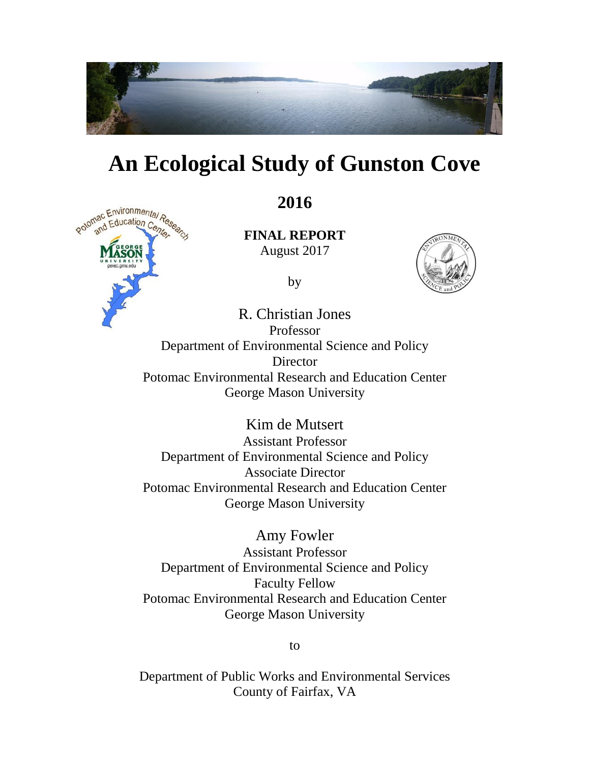

## **An Ecological Study of Gunston Cove**



**2016** 

 **FINAL REPORT**  August 2017

by



R. Christian Jones Professor Department of Environmental Science and Policy Director Potomac Environmental Research and Education Center George Mason University

> Kim de Mutsert Assistant Professor Department of Environmental Science and Policy Associate Director Potomac Environmental Research and Education Center George Mason University

> Amy Fowler Assistant Professor Department of Environmental Science and Policy Faculty Fellow Potomac Environmental Research and Education Center George Mason University

> > to

Department of Public Works and Environmental Services County of Fairfax, VA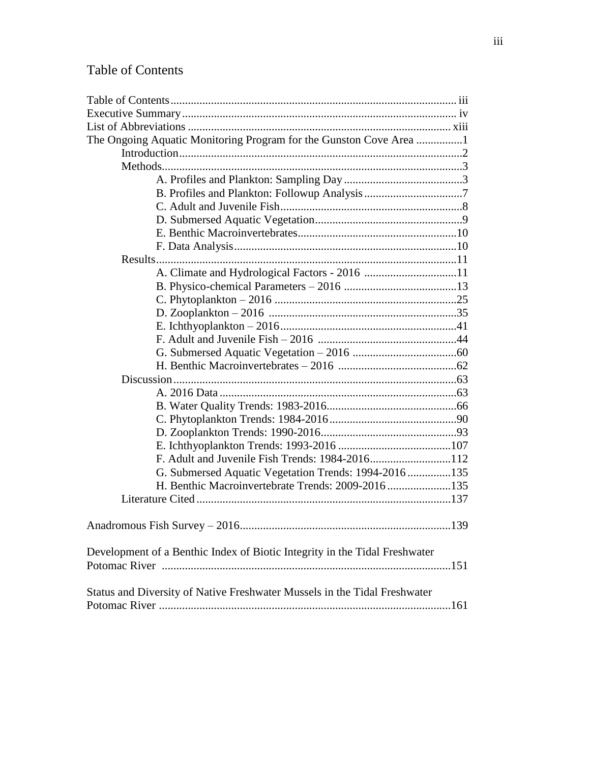## Table of Contents

| The Ongoing Aquatic Monitoring Program for the Gunston Cove Area 1         |  |  |  |
|----------------------------------------------------------------------------|--|--|--|
|                                                                            |  |  |  |
|                                                                            |  |  |  |
|                                                                            |  |  |  |
|                                                                            |  |  |  |
|                                                                            |  |  |  |
|                                                                            |  |  |  |
|                                                                            |  |  |  |
|                                                                            |  |  |  |
|                                                                            |  |  |  |
|                                                                            |  |  |  |
|                                                                            |  |  |  |
|                                                                            |  |  |  |
|                                                                            |  |  |  |
|                                                                            |  |  |  |
|                                                                            |  |  |  |
|                                                                            |  |  |  |
|                                                                            |  |  |  |
|                                                                            |  |  |  |
|                                                                            |  |  |  |
|                                                                            |  |  |  |
|                                                                            |  |  |  |
|                                                                            |  |  |  |
|                                                                            |  |  |  |
|                                                                            |  |  |  |
| G. Submersed Aquatic Vegetation Trends: 1994-2016 135                      |  |  |  |
| H. Benthic Macroinvertebrate Trends: 2009-2016135                          |  |  |  |
|                                                                            |  |  |  |
|                                                                            |  |  |  |
|                                                                            |  |  |  |
|                                                                            |  |  |  |
| Development of a Benthic Index of Biotic Integrity in the Tidal Freshwater |  |  |  |
|                                                                            |  |  |  |
|                                                                            |  |  |  |
| Status and Diversity of Native Freshwater Mussels in the Tidal Freshwater  |  |  |  |
|                                                                            |  |  |  |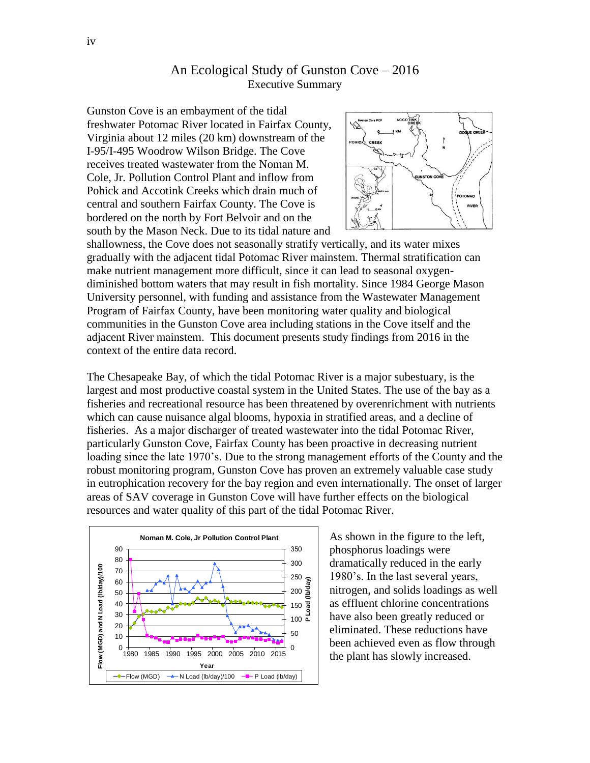## An Ecological Study of Gunston Cove – 2016 Executive Summary

 south by the Mason Neck. Due to its tidal nature and Gunston Cove is an embayment of the tidal freshwater Potomac River located in Fairfax County, Virginia about 12 miles (20 km) downstream of the I-95/I-495 Woodrow Wilson Bridge. The Cove receives treated wastewater from the Noman M. Cole, Jr. Pollution Control Plant and inflow from Pohick and Accotink Creeks which drain much of central and southern Fairfax County. The Cove is bordered on the north by Fort Belvoir and on the



 gradually with the adjacent tidal Potomac River mainstem. Thermal stratification can adjacent River mainstem. This document presents study findings from 2016 in the shallowness, the Cove does not seasonally stratify vertically, and its water mixes make nutrient management more difficult, since it can lead to seasonal oxygendiminished bottom waters that may result in fish mortality. Since 1984 George Mason University personnel, with funding and assistance from the Wastewater Management Program of Fairfax County, have been monitoring water quality and biological communities in the Gunston Cove area including stations in the Cove itself and the context of the entire data record.

The Chesapeake Bay, of which the tidal Potomac River is a major subestuary, is the largest and most productive coastal system in the United States. The use of the bay as a fisheries and recreational resource has been threatened by overenrichment with nutrients which can cause nuisance algal blooms, hypoxia in stratified areas, and a decline of fisheries. As a major discharger of treated wastewater into the tidal Potomac River, particularly Gunston Cove, Fairfax County has been proactive in decreasing nutrient loading since the late 1970's. Due to the strong management efforts of the County and the robust monitoring program, Gunston Cove has proven an extremely valuable case study in eutrophication recovery for the bay region and even internationally. The onset of larger areas of SAV coverage in Gunston Cove will have further effects on the biological resources and water quality of this part of the tidal Potomac River.



 have also been greatly reduced or eliminated. These reductions have As shown in the figure to the left, phosphorus loadings were dramatically reduced in the early 1980's. In the last several years, nitrogen, and solids loadings as well as effluent chlorine concentrations been achieved even as flow through the plant has slowly increased.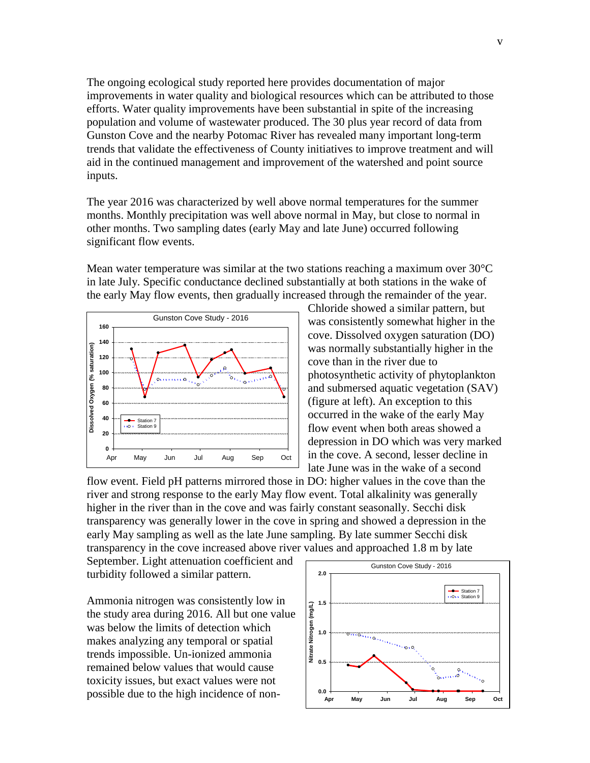inputs. inputs.<br>The year 2016 was characterized by well above normal temperatures for the summer The ongoing ecological study reported here provides documentation of major improvements in water quality and biological resources which can be attributed to those efforts. Water quality improvements have been substantial in spite of the increasing population and volume of wastewater produced. The 30 plus year record of data from Gunston Cove and the nearby Potomac River has revealed many important long-term trends that validate the effectiveness of County initiatives to improve treatment and will aid in the continued management and improvement of the watershed and point source

 significant flow events. months. Monthly precipitation was well above normal in May, but close to normal in other months. Two sampling dates (early May and late June) occurred following

Mean water temperature was similar at the two stations reaching a maximum over  $30^{\circ}$ C in late July. Specific conductance declined substantially at both stations in the wake of the early May flow events, then gradually increased through the remainder of the year.



Chloride showed a similar pattern, but was consistently somewhat higher in the cove. Dissolved oxygen saturation (DO) was normally substantially higher in the cove than in the river due to photosynthetic activity of phytoplankton and submersed aquatic vegetation (SAV) (figure at left). An exception to this occurred in the wake of the early May flow event when both areas showed a depression in DO which was very marked in the cove. A second, lesser decline in late June was in the wake of a second

 transparency in the cove increased above river values and approached 1.8 m by late flow event. Field pH patterns mirrored those in DO: higher values in the cove than the river and strong response to the early May flow event. Total alkalinity was generally higher in the river than in the cove and was fairly constant seasonally. Secchi disk transparency was generally lower in the cove in spring and showed a depression in the early May sampling as well as the late June sampling. By late summer Secchi disk

September. Light attenuation coefficient and turbidity followed a similar pattern.

Ammonia nitrogen was consistently low in the study area during 2016. All but one value was below the limits of detection which makes analyzing any temporal or spatial trends impossible. Un-ionized ammonia remained below values that would cause toxicity issues, but exact values were not possible due to the high incidence of non-

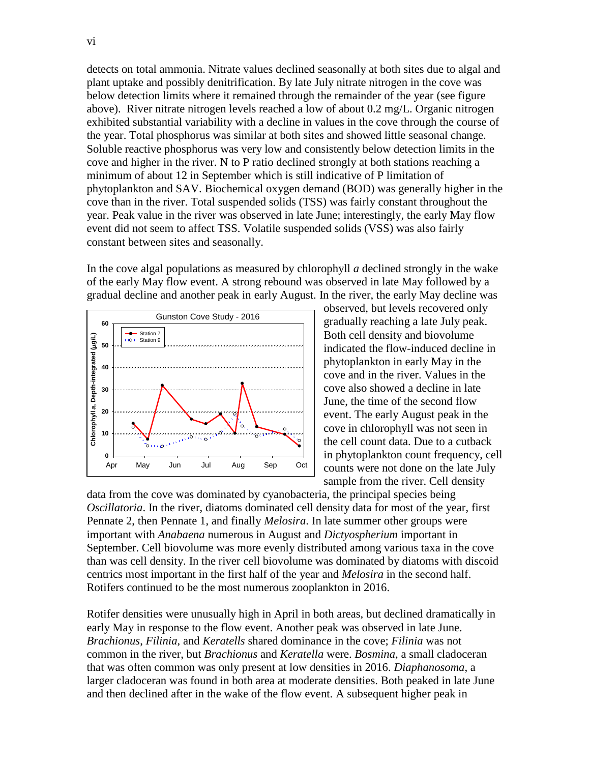below detection limits where it remained through the remainder of the year (see figure above). River nitrate nitrogen levels reached a low of about 0.2 mg/L. Organic nitrogen cove and higher in the river. N to P ratio declined strongly at both stations reaching a cove than in the river. Total suspended solids (TSS) was fairly constant throughout the year. Peak value in the river was observed in late June; interestingly, the early May flow detects on total ammonia. Nitrate values declined seasonally at both sites due to algal and plant uptake and possibly denitrification. By late July nitrate nitrogen in the cove was exhibited substantial variability with a decline in values in the cove through the course of the year. Total phosphorus was similar at both sites and showed little seasonal change. Soluble reactive phosphorus was very low and consistently below detection limits in the minimum of about 12 in September which is still indicative of P limitation of phytoplankton and SAV. Biochemical oxygen demand (BOD) was generally higher in the event did not seem to affect TSS. Volatile suspended solids (VSS) was also fairly constant between sites and seasonally.

 In the cove algal populations as measured by chlorophyll *a* declined strongly in the wake of the early May flow event. A strong rebound was observed in late May followed by a gradual decline and another peak in early August. In the river, the early May decline was



 gradually reaching a late July peak. observed, but levels recovered only Both cell density and biovolume indicated the flow-induced decline in phytoplankton in early May in the cove and in the river. Values in the cove also showed a decline in late June, the time of the second flow event. The early August peak in the cove in chlorophyll was not seen in the cell count data. Due to a cutback in phytoplankton count frequency, cell counts were not done on the late July sample from the river. Cell density

data from the cove was dominated by cyanobacteria, the principal species being *Oscillatoria*. In the river, diatoms dominated cell density data for most of the year, first Pennate 2, then Pennate 1, and finally *Melosira*. In late summer other groups were important with *Anabaena* numerous in August and *Dictyospherium* important in September. Cell biovolume was more evenly distributed among various taxa in the cove than was cell density. In the river cell biovolume was dominated by diatoms with discoid centrics most important in the first half of the year and *Melosira* in the second half. Rotifers continued to be the most numerous zooplankton in 2016.

 *Brachionus*, *Filinia*, and *Keratells* shared dominance in the cove; *Filinia* was not Rotifer densities were unusually high in April in both areas, but declined dramatically in early May in response to the flow event. Another peak was observed in late June. common in the river, but *Brachionus* and *Keratella* were. *Bosmina*, a small cladoceran that was often common was only present at low densities in 2016. *Diaphanosoma*, a larger cladoceran was found in both area at moderate densities. Both peaked in late June and then declined after in the wake of the flow event. A subsequent higher peak in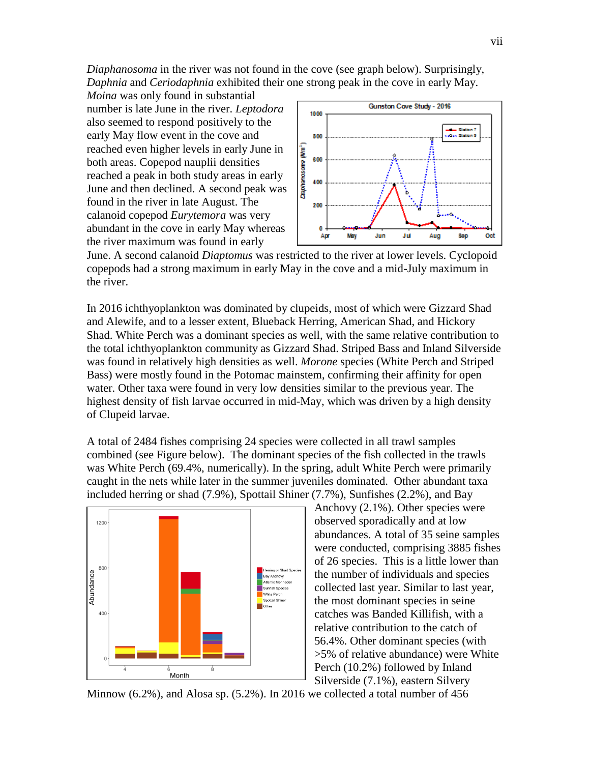*Diaphanosoma* in the river was not found in the cove (see graph below). Surprisingly, *Daphnia* and *Ceriodaphnia* exhibited their one strong peak in the cove in early May.

 *Moina* was only found in substantial calanoid copepod *Eurytemora* was very number is late June in the river. *Leptodora*  also seemed to respond positively to the early May flow event in the cove and reached even higher levels in early June in both areas. Copepod nauplii densities reached a peak in both study areas in early June and then declined. A second peak was found in the river in late August. The abundant in the cove in early May whereas the river maximum was found in early



June. A second calanoid *Diaptomus* was restricted to the river at lower levels. Cyclopoid copepods had a strong maximum in early May in the cove and a mid-July maximum in the river.

 water. Other taxa were found in very low densities similar to the previous year. The highest density of fish larvae occurred in mid-May, which was driven by a high density In 2016 ichthyoplankton was dominated by clupeids, most of which were Gizzard Shad and Alewife, and to a lesser extent, Blueback Herring, American Shad, and Hickory Shad. White Perch was a dominant species as well, with the same relative contribution to the total ichthyoplankton community as Gizzard Shad. Striped Bass and Inland Silverside was found in relatively high densities as well. *Morone* species (White Perch and Striped Bass) were mostly found in the Potomac mainstem, confirming their affinity for open of Clupeid larvae.

 combined (see Figure below). The dominant species of the fish collected in the trawls caught in the nets while later in the summer juveniles dominated. Other abundant taxa A total of 2484 fishes comprising 24 species were collected in all trawl samples was White Perch (69.4%, numerically). In the spring, adult White Perch were primarily included herring or shad (7.9%), Spottail Shiner (7.7%), Sunfishes (2.2%), and Bay



 abundances. A total of 35 seine samples were conducted, comprising 3885 fishes the most dominant species in seine Perch (10.2%) followed by Inland Anchovy (2.1%). Other species were observed sporadically and at low of 26 species. This is a little lower than the number of individuals and species collected last year. Similar to last year, catches was Banded Killifish, with a relative contribution to the catch of 56.4%. Other dominant species (with >5% of relative abundance) were White Silverside (7.1%), eastern Silvery

Minnow (6.2%), and Alosa sp. (5.2%). In 2016 we collected a total number of 456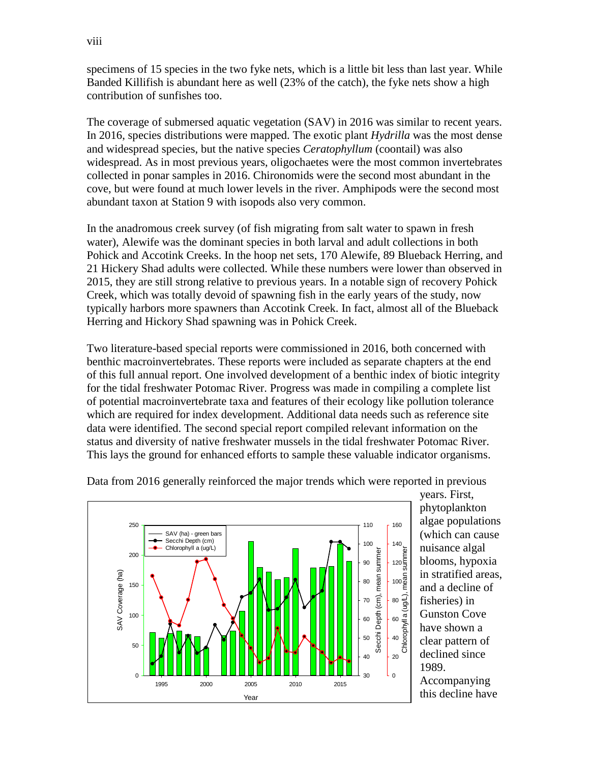contribution of sunfishes too. specimens of 15 species in the two fyke nets, which is a little bit less than last year. While Banded Killifish is abundant here as well (23% of the catch), the fyke nets show a high

 abundant taxon at Station 9 with isopods also very common. The coverage of submersed aquatic vegetation (SAV) in 2016 was similar to recent years. In 2016, species distributions were mapped. The exotic plant *Hydrilla* was the most dense and widespread species, but the native species *Ceratophyllum* (coontail) was also widespread. As in most previous years, oligochaetes were the most common invertebrates collected in ponar samples in 2016. Chironomids were the second most abundant in the cove, but were found at much lower levels in the river. Amphipods were the second most

 In the anadromous creek survey (of fish migrating from salt water to spawn in fresh 21 Hickery Shad adults were collected. While these numbers were lower than observed in 2015, they are still strong relative to previous years. In a notable sign of recovery Pohick water), Alewife was the dominant species in both larval and adult collections in both Pohick and Accotink Creeks. In the hoop net sets, 170 Alewife, 89 Blueback Herring, and Creek, which was totally devoid of spawning fish in the early years of the study, now typically harbors more spawners than Accotink Creek. In fact, almost all of the Blueback Herring and Hickory Shad spawning was in Pohick Creek.

 This lays the ground for enhanced efforts to sample these valuable indicator organisms. Two literature-based special reports were commissioned in 2016, both concerned with benthic macroinvertebrates. These reports were included as separate chapters at the end of this full annual report. One involved development of a benthic index of biotic integrity for the tidal freshwater Potomac River. Progress was made in compiling a complete list of potential macroinvertebrate taxa and features of their ecology like pollution tolerance which are required for index development. Additional data needs such as reference site data were identified. The second special report compiled relevant information on the status and diversity of native freshwater mussels in the tidal freshwater Potomac River.



Data from 2016 generally reinforced the major trends which were reported in previous

years. First, phytoplankton algae populations (which can cause nuisance algal blooms, hypoxia in stratified areas, and a decline of fisheries) in Gunston Cove have shown a clear pattern of declined since 1989.

Accompanying this decline have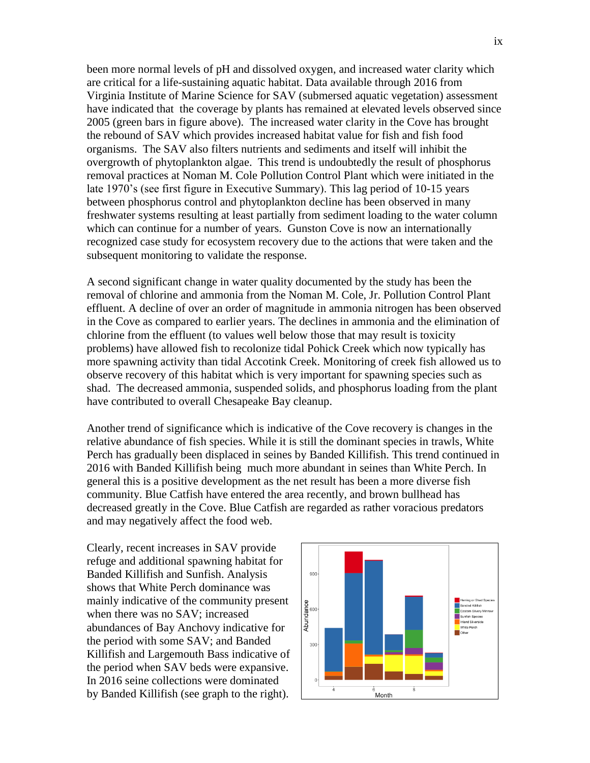been more normal levels of pH and dissolved oxygen, and increased water clarity which Virginia Institute of Marine Science for SAV (submersed aquatic vegetation) assessment 2005 (green bars in figure above). The increased water clarity in the Cove has brought which can continue for a number of years. Gunston Cove is now an internationally recognized case study for ecosystem recovery due to the actions that were taken and the subsequent monitoring to validate the response. are critical for a life-sustaining aquatic habitat. Data available through 2016 from have indicated that the coverage by plants has remained at elevated levels observed since the rebound of SAV which provides increased habitat value for fish and fish food organisms. The SAV also filters nutrients and sediments and itself will inhibit the overgrowth of phytoplankton algae. This trend is undoubtedly the result of phosphorus removal practices at Noman M. Cole Pollution Control Plant which were initiated in the late 1970's (see first figure in Executive Summary). This lag period of 10-15 years between phosphorus control and phytoplankton decline has been observed in many freshwater systems resulting at least partially from sediment loading to the water column

 have contributed to overall Chesapeake Bay cleanup. A second significant change in water quality documented by the study has been the removal of chlorine and ammonia from the Noman M. Cole, Jr. Pollution Control Plant effluent. A decline of over an order of magnitude in ammonia nitrogen has been observed in the Cove as compared to earlier years. The declines in ammonia and the elimination of chlorine from the effluent (to values well below those that may result is toxicity problems) have allowed fish to recolonize tidal Pohick Creek which now typically has more spawning activity than tidal Accotink Creek. Monitoring of creek fish allowed us to observe recovery of this habitat which is very important for spawning species such as shad. The decreased ammonia, suspended solids, and phosphorus loading from the plant

 Another trend of significance which is indicative of the Cove recovery is changes in the 2016 with Banded Killifish being much more abundant in seines than White Perch. In relative abundance of fish species. While it is still the dominant species in trawls, White Perch has gradually been displaced in seines by Banded Killifish. This trend continued in general this is a positive development as the net result has been a more diverse fish community. Blue Catfish have entered the area recently, and brown bullhead has decreased greatly in the Cove. Blue Catfish are regarded as rather voracious predators and may negatively affect the food web.

 Clearly, recent increases in SAV provide abundances of Bay Anchovy indicative for Killifish and Largemouth Bass indicative of refuge and additional spawning habitat for Banded Killifish and Sunfish. Analysis shows that White Perch dominance was mainly indicative of the community present when there was no SAV; increased the period with some SAV; and Banded the period when SAV beds were expansive. In 2016 seine collections were dominated by Banded Killifish (see graph to the right).

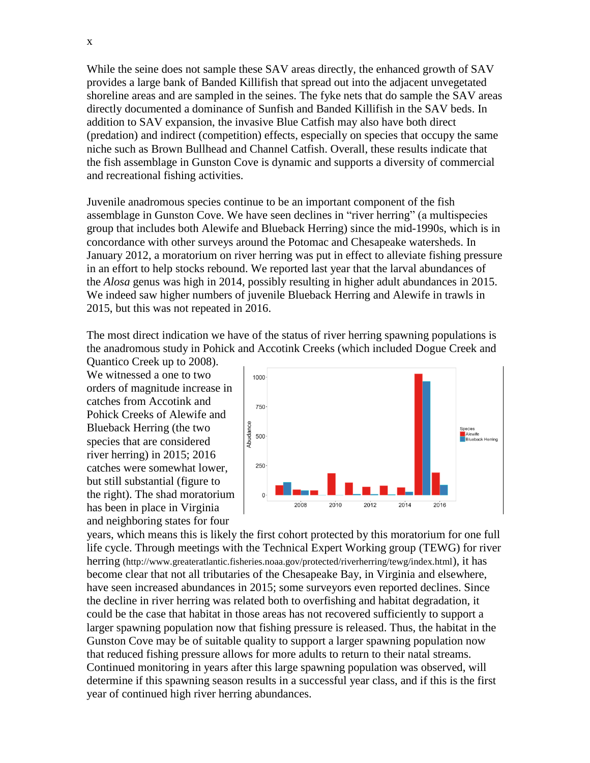and recreational fishing activities. While the seine does not sample these SAV areas directly, the enhanced growth of SAV provides a large bank of Banded Killifish that spread out into the adjacent unvegetated shoreline areas and are sampled in the seines. The fyke nets that do sample the SAV areas directly documented a dominance of Sunfish and Banded Killifish in the SAV beds. In addition to SAV expansion, the invasive Blue Catfish may also have both direct (predation) and indirect (competition) effects, especially on species that occupy the same niche such as Brown Bullhead and Channel Catfish. Overall, these results indicate that the fish assemblage in Gunston Cove is dynamic and supports a diversity of commercial

Juvenile anadromous species continue to be an important component of the fish assemblage in Gunston Cove. We have seen declines in "river herring" (a multispecies group that includes both Alewife and Blueback Herring) since the mid-1990s, which is in concordance with other surveys around the Potomac and Chesapeake watersheds. In January 2012, a moratorium on river herring was put in effect to alleviate fishing pressure in an effort to help stocks rebound. We reported last year that the larval abundances of the *Alosa* genus was high in 2014, possibly resulting in higher adult abundances in 2015. We indeed saw higher numbers of juvenile Blueback Herring and Alewife in trawls in 2015, but this was not repeated in 2016.

 The most direct indication we have of the status of river herring spawning populations is the anadromous study in Pohick and Accotink Creeks (which included Dogue Creek and

Quantico Creek up to 2008). We witnessed a one to two orders of magnitude increase in catches from Accotink and Pohick Creeks of Alewife and Blueback Herring (the two species that are considered river herring) in 2015; 2016 catches were somewhat lower, but still substantial (figure to the right). The shad moratorium has been in place in Virginia and neighboring states for four



 life cycle. Through meetings with the Technical Expert Working group (TEWG) for river could be the case that habitat in those areas has not recovered sufficiently to support a Gunston Cove may be of suitable quality to support a larger spawning population now year of continued high river herring abundances. years, which means this is likely the first cohort protected by this moratorium for one full herring (http://www.greateratlantic.fisheries.noaa.gov/protected/riverherring/tewg/index.html), it has become clear that not all tributaries of the Chesapeake Bay, in Virginia and elsewhere, have seen increased abundances in 2015; some surveyors even reported declines. Since the decline in river herring was related both to overfishing and habitat degradation, it larger spawning population now that fishing pressure is released. Thus, the habitat in the that reduced fishing pressure allows for more adults to return to their natal streams. Continued monitoring in years after this large spawning population was observed, will determine if this spawning season results in a successful year class, and if this is the first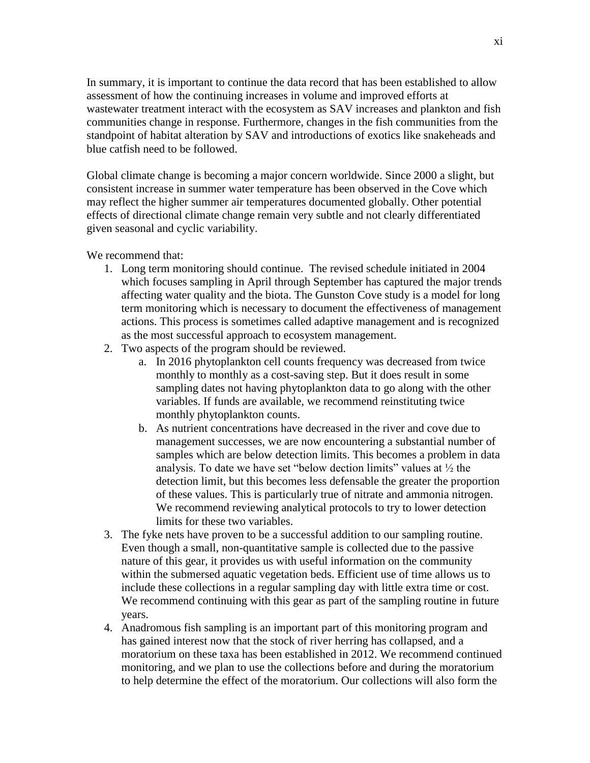In summary, it is important to continue the data record that has been established to allow assessment of how the continuing increases in volume and improved efforts at wastewater treatment interact with the ecosystem as SAV increases and plankton and fish communities change in response. Furthermore, changes in the fish communities from the standpoint of habitat alteration by SAV and introductions of exotics like snakeheads and blue catfish need to be followed.

 Global climate change is becoming a major concern worldwide. Since 2000 a slight, but consistent increase in summer water temperature has been observed in the Cove which may reflect the higher summer air temperatures documented globally. Other potential effects of directional climate change remain very subtle and not clearly differentiated given seasonal and cyclic variability.

We recommend that:

- affecting water quality and the biota. The Gunston Cove study is a model for long 1. Long term monitoring should continue. The revised schedule initiated in 2004 which focuses sampling in April through September has captured the major trends term monitoring which is necessary to document the effectiveness of management actions. This process is sometimes called adaptive management and is recognized as the most successful approach to ecosystem management.
- 2. Two aspects of the program should be reviewed.
	- a. In 2016 phytoplankton cell counts frequency was decreased from twice monthly to monthly as a cost-saving step. But it does result in some sampling dates not having phytoplankton data to go along with the other variables. If funds are available, we recommend reinstituting twice monthly phytoplankton counts.
	- b. As nutrient concentrations have decreased in the river and cove due to management successes, we are now encountering a substantial number of samples which are below detection limits. This becomes a problem in data analysis. To date we have set "below dection limits" values at  $\frac{1}{2}$  the detection limit, but this becomes less defensable the greater the proportion of these values. This is particularly true of nitrate and ammonia nitrogen. We recommend reviewing analytical protocols to try to lower detection limits for these two variables.
- 3. The fyke nets have proven to be a successful addition to our sampling routine. Even though a small, non-quantitative sample is collected due to the passive nature of this gear, it provides us with useful information on the community within the submersed aquatic vegetation beds. Efficient use of time allows us to include these collections in a regular sampling day with little extra time or cost. We recommend continuing with this gear as part of the sampling routine in future years.
- 4. Anadromous fish sampling is an important part of this monitoring program and has gained interest now that the stock of river herring has collapsed, and a moratorium on these taxa has been established in 2012. We recommend continued monitoring, and we plan to use the collections before and during the moratorium to help determine the effect of the moratorium. Our collections will also form the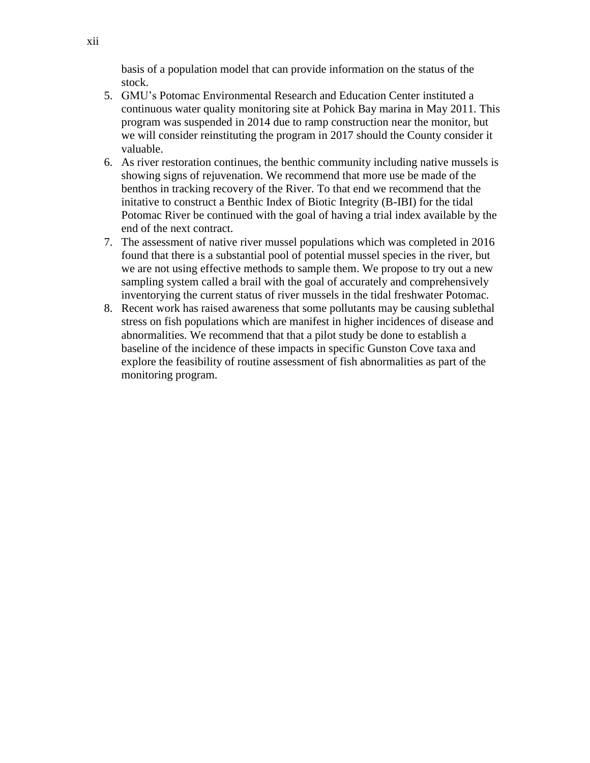basis of a population model that can provide information on the status of the stock.

- 5. GMU's Potomac Environmental Research and Education Center instituted a continuous water quality monitoring site at Pohick Bay marina in May 2011. This program was suspended in 2014 due to ramp construction near the monitor, but we will consider reinstituting the program in 2017 should the County consider it valuable.
- initative to construct a Benthic Index of Biotic Integrity (B-IBI) for the tidal end of the next contract. 6. As river restoration continues, the benthic community including native mussels is showing signs of rejuvenation. We recommend that more use be made of the benthos in tracking recovery of the River. To that end we recommend that the Potomac River be continued with the goal of having a trial index available by the
- 7. The assessment of native river mussel populations which was completed in 2016 found that there is a substantial pool of potential mussel species in the river, but we are not using effective methods to sample them. We propose to try out a new sampling system called a brail with the goal of accurately and comprehensively inventorying the current status of river mussels in the tidal freshwater Potomac.
- 8. Recent work has raised awareness that some pollutants may be causing sublethal stress on fish populations which are manifest in higher incidences of disease and abnormalities. We recommend that that a pilot study be done to establish a baseline of the incidence of these impacts in specific Gunston Cove taxa and explore the feasibility of routine assessment of fish abnormalities as part of the monitoring program.